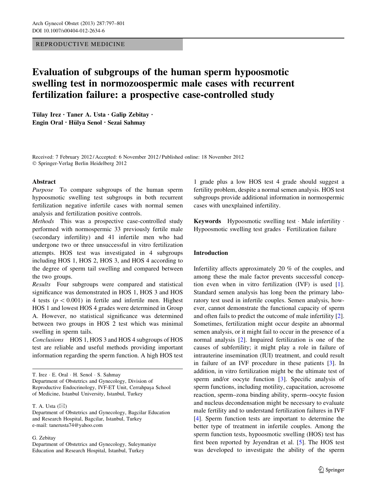# REPRODUCTIVE MEDICINE

# Evaluation of subgroups of the human sperm hypoosmotic swelling test in normozoospermic male cases with recurrent fertilization failure: a prospective case-controlled study

Tülay Irez • Taner A. Usta • Galip Zebitay • Engin Oral • Hülya Senol • Sezai Sahmay

Received: 7 February 2012 / Accepted: 6 November 2012 / Published online: 18 November 2012 - Springer-Verlag Berlin Heidelberg 2012

# Abstract

Purpose To compare subgroups of the human sperm hypoosmotic swelling test subgroups in both recurrent fertilization negative infertile cases with normal semen analysis and fertilization positive controls.

Methods This was a prospective case-controlled study performed with normospermic 33 previously fertile male (secondary infertility) and 41 infertile men who had undergone two or three unsuccessful in vitro fertilization attempts. HOS test was investigated in 4 subgroups including HOS 1, HOS 2, HOS 3, and HOS 4 according to the degree of sperm tail swelling and compared between the two groups.

Results Four subgroups were compared and statistical significance was demonstrated in HOS 1, HOS 3 and HOS 4 tests ( $p < 0.001$ ) in fertile and infertile men. Highest HOS 1 and lowest HOS 4 grades were determined in Group A. However, no statistical significance was determined between two groups in HOS 2 test which was minimal swelling in sperm tails.

Conclusions HOS 1, HOS 3 and HOS 4 subgroups of HOS test are reliable and useful methods providing important information regarding the sperm function. A high HOS test

T. Irez - E. Oral - H. Senol - S. Sahmay Department of Obstetrics and Gynecology, Division of Reproductive Endocrinology, IVF-ET Unit, Cerrahpaşa School of Medicine, Istanbul University, Istanbul, Turkey

T. A. Usta  $(\boxtimes)$ 

G. Zebitay

Department of Obstetrics and Gynecology, Suleymaniye Education and Research Hospital, Istanbul, Turkey

1 grade plus a low HOS test 4 grade should suggest a fertility problem, despite a normal semen analysis. HOS test subgroups provide additional information in normospermic cases with unexplained infertility.

**Keywords** Hypoosmotic swelling test  $\cdot$  Male infertility  $\cdot$ Hypoosmotic swelling test grades - Fertilization failure

# Introduction

Infertility affects approximately 20 % of the couples, and among these the male factor prevents successful conception even when in vitro fertilization (IVF) is used [\[1](#page-3-0)]. Standard semen analysis has long been the primary laboratory test used in infertile couples. Semen analysis, however, cannot demonstrate the functional capacity of sperm and often fails to predict the outcome of male infertility [\[2](#page-3-0)]. Sometimes, fertilization might occur despite an abnormal semen analysis, or it might fail to occur in the presence of a normal analysis [[2\]](#page-3-0). Impaired fertilization is one of the causes of subfertility; it might play a role in failure of intrauterine insemination (IUI) treatment, and could result in failure of an IVF procedure in these patients [\[3](#page-3-0)]. In addition, in vitro fertilization might be the ultimate test of sperm and/or oocyte function [\[3](#page-3-0)]. Specific analysis of sperm functions, including motility, capacitation, acrosome reaction, sperm–zona binding ability, sperm–oocyte fusion and nucleus decondensation might be necessary to evaluate male fertility and to understand fertilization failures in IVF [\[4](#page-3-0)]. Sperm function tests are important to determine the better type of treatment in infertile couples. Among the sperm function tests, hypoosmotic swelling (HOS) test has first been reported by Jeyendran et al. [\[5](#page-3-0)]. The HOS test was developed to investigate the ability of the sperm

Department of Obstetrics and Gynecology, Bagcilar Education and Research Hospital, Bagcilar, Istanbul, Turkey e-mail: tanerusta74@yahoo.com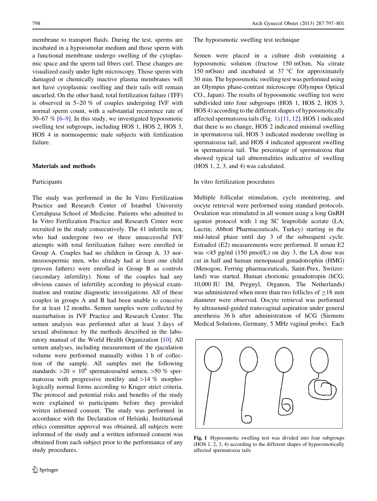membrane to transport fluids. During the test, sperms are incubated in a hypoosmolar medium and those sperm with a functional membrane undergo swelling of the cytoplasmic space and the sperm tail fibers curl. These changes are visualized easily under light microscopy. Those sperm with damaged or chemically inactive plasma membranes will not have cytoplasmic swelling and their tails will remain uncurled. On the other hand, total fertilization failure (TFF) is observed in 5–20 % of couples undergoing IVF with normal sperm count, with a substantial recurrence rate of 30–67 % [[6–9\]](#page-3-0). In this study, we investigated hypoosmotic swelling test subgroups, including HOS 1, HOS 2, HOS 3, HOS 4 in normospermic male subjects with fertilization failure.

# Materials and methods

# Participants

The study was performed in the In Vitro Fertilization Practice and Research Center of Istanbul University Cerrahpasa School of Medicine. Patients who admitted to In Vitro Fertilization Practice and Research Center were recruited in the study consecutively. The 41 infertile men, who had undergone two or three unsuccessful IVF attempts with total fertilization failure were enrolled in Group A. Couples had no children in Group A. 33 normozoospermic men, who already had at least one child (proven fathers) were enrolled in Group B as controls (secondary infertility). None of the couples had any obvious causes of infertility according to physical examination and routine diagnostic investigations. All of these couples in groups A and B had been unable to conceive for at least 12 months. Semen samples were collected by masturbation in IVF Practice and Research Center. The semen analysis was performed after at least 3 days of sexual abstinence by the methods described in the laboratory manual of the World Health Organization [\[10](#page-3-0)]. All semen analyses, including measurement of the ejaculation volume were performed manually within 1 h of collection of the sample. All samples met the following standards:  $>20 \times 10^6$  spermatozoa/ml semen,  $>50 \%$  spermatozoa with progressive motility and  $>14$  % morphologically normal forms according to Kruger strict criteria. The protocol and potential risks and benefits of the study were explained to participants before they provided written informed consent. The study was performed in accordance with the Declaration of Helsinki. Institutional ethics committee approval was obtained, all subjects were informed of the study and a written informed consent was obtained from each subject prior to the performance of any study procedures.

The hypoosmotic swelling test technique

Semen were placed in a culture dish containing a hypoosmotic solution (fructose 150 mOsm, Na citrate 150 mOsm) and incubated at  $37^{\circ}$ C for approximately 30 min. The hypoosmotic swelling test was performed using an Olympus phase-contrast microscope (Olympus Optical CO., Japan). The results of hypoosmotic swelling test were subdivided into four subgroups (HOS 1, HOS 2, HOS 3, HOS 4) according to the different shapes of hypoosmotically affected spermatozoa tails (Fig. 1) [\[11](#page-4-0), [12](#page-4-0)]. HOS 1 indicated that there is no change, HOS 2 indicated minimal swelling in spermatozoa tail, HOS 3 indicated moderate swelling in spermatozoa tail, and HOS 4 indicated appearent swelling in spermatozoa tail. The percentage of spermatozoa that showed typical tail abnormalities indicative of swelling (HOS 1, 2, 3, and 4) was calculated.

#### In vitro fertilization procedures

Multiple follicular stimulation, cycle monitoring, and oocyte retrieval were performed using standard protocols. Ovulation was stimulated in all women using a long GnRH agonist protocol with 1 mg SC leuprolide acetate (LA; Lucrin; Abbott Pharmaceuticals, Turkey) starting in the mid-luteal phase until day 3 of the subsequent cycle. Estradiol (E2) measurements were performed. If serum E2 was  $\langle 45 \text{ pg/ml}}$  (150 pmol/L) on day 3, the LA dose was cut in half and human menopausal gonadotrophin (HMG) (Menogon, Ferring pharmaceuticals, Saint-Prex, Switzerland) was started. Human chorionic gonadotropin (hCG; 10,000 IU IM, Pregnyl, Organon, The Netherlands) was administered when more than two follicles of  $>18$  mm diameter were observed. Oocyte retrieval was performed by ultrasound-guided transvaginal aspiration under general anesthesia 36 h after administration of hCG (Siemens Medical Solutions, Germany, 5 MHz vaginal probe). Each



Fig. 1 Hypoosmotic swelling test was divided into four subgroups (HOS 1, 2, 3, 4) according to the different shapes of hypoosmotically affected spermatozoa tails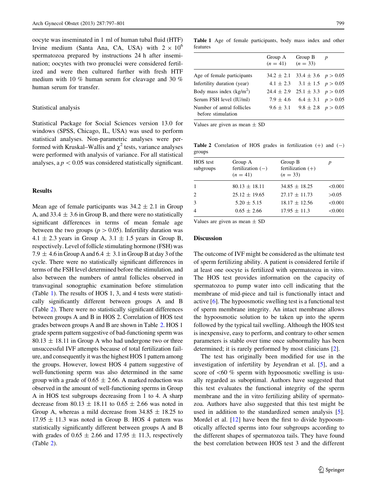oocyte was inseminated in 1 ml of human tubal fluid (HTF) Irvine medium (Santa Ana, CA, USA) with  $2 \times 10^6$ spermatozoa prepared by instructions 24 h after insemination; oocytes with two pronuclei were considered fertilized and were then cultured further with fresh HTF medium with 10 % human serum for cleavage and 30 % human serum for transfer.

#### Statistical analysis

Statistical Package for Social Sciences version 13.0 for windows (SPSS, Chicago, IL, USA) was used to perform statistical analyses. Non-parametric analyses were performed with Kruskal–Wallis and  $\chi^2$  tests, variance analyses were performed with analysis of variance. For all statistical analyses, a  $p < 0.05$  was considered statistically significant.

# **Results**

Mean age of female participants was  $34.2 \pm 2.1$  in Group A, and  $33.4 \pm 3.6$  in Group B, and there were no statistically significant differences in terms of mean female age between the two groups ( $p > 0.05$ ). Infertility duration was  $4.1 \pm 2.3$  years in Group A,  $3.1 \pm 1.5$  years in Group B, respectively. Level of follicle stimulating hormone (FSH) was  $7.9 \pm 4.6$  in Group A and  $6.4 \pm 3.1$  in Group B at day 3 of the cycle. There were no statistically significant differences in terms of the FSH level determined before the stimulation, and also between the numbers of antral follicles observed in transvaginal sonographic examination before stimulation (Table 1). The results of HOS 1, 3, and 4 tests were statistically significantly different between groups A and B (Table 2). There were no statistically significant differences between groups A and B in HOS 2. Correlation of HOS test grades between groups A and B are shown in Table 2. HOS 1 grade sperm pattern suggestive of bad-functioning sperm was  $80.13 \pm 18.11$  in Group A who had undergone two or three unsuccessful IVF attempts because of total fertilization failure, and consequently it was the highest HOS 1 pattern among the groups. However, lowest HOS 4 pattern suggestive of well-functioning sperm was also determined in the same group with a grade of  $0.65 \pm 2.66$ . A marked reduction was observed in the amount of well-functioning sperms in Group A in HOS test subgroups decreasing from 1 to 4. A sharp decrease from  $80.13 \pm 18.11$  to  $0.65 \pm 2.66$  was noted in Group A, whereas a mild decrease from  $34.85 \pm 18.25$  to  $17.95 \pm 11.3$  was noted in Group B. HOS 4 pattern was statistically significantly different between groups A and B with grades of  $0.65 \pm 2.66$  and  $17.95 \pm 11.3$ , respectively (Table 2).

Table 1 Age of female participants, body mass index and other features

|                                                  | Group A<br>$(n = 41)$ | Group B<br>$(n = 33)$                    | $\boldsymbol{p}$ |
|--------------------------------------------------|-----------------------|------------------------------------------|------------------|
| Age of female participants                       |                       | $34.2 \pm 2.1$ $33.4 \pm 3.6$ $p > 0.05$ |                  |
| Infertility duration (year)                      |                       | $4.1 \pm 2.3$ $3.1 \pm 1.5$ $p > 0.05$   |                  |
| Body mass index $(kg/m2)$                        | $24.4 \pm 2.9$        | $25.1 \pm 3.3$ $p > 0.05$                |                  |
| Serum FSH level (IU/ml)                          |                       | $7.9 \pm 4.6$ $6.4 \pm 3.1$ $p > 0.05$   |                  |
| Number of antral follicles<br>before stimulation |                       | $9.6 \pm 3.1$ $9.8 \pm 2.8$ $p > 0.05$   |                  |

Values are given as mean  $\pm$  SD

Table 2 Correlation of HOS grades in fertilization  $(+)$  and  $(-)$ groups

| HOS test<br>subgroups       | Group A<br>fertilization $(-)$<br>$(n = 41)$ | Group B<br>fertilization $(+)$<br>$(n = 33)$ |         |
|-----------------------------|----------------------------------------------|----------------------------------------------|---------|
|                             | $80.13 \pm 18.11$                            | $34.85 \pm 18.25$                            | < 0.001 |
| $\mathcal{D}_{\mathcal{L}}$ | $25.12 \pm 19.65$                            | $27.17 \pm 11.73$                            | >0.05   |
| 3                           | $5.20 \pm 5.15$                              | $18.17 \pm 12.56$                            | < 0.001 |
| $\overline{4}$              | $0.65 \pm 2.66$                              | $17.95 \pm 11.3$                             | < 0.001 |

Values are given as mean  $\pm$  SD

#### Discussion

The outcome of IVF might be considered as the ultimate test of sperm fertilizing ability. A patient is considered fertile if at least one oocyte is fertilized with spermatozoa in vitro. The HOS test provides information on the capacity of spermatozoa to pump water into cell indicating that the membrane of mid-piece and tail is functionally intact and active [[6\]](#page-3-0). The hypoosmotic swelling test is a functional test of sperm membrane integrity. An intact membrane allows the hypoosmotic solution to be taken up into the sperm followed by the typical tail swelling. Although the HOS test is inexpensive, easy to perform, and contrary to other semen parameters is stable over time once subnormality has been determined; it is rarely performed by most clinicians [[2\]](#page-3-0).

The test has originally been modified for use in the investigation of infertility by Jeyendran et al. [[5\]](#page-3-0), and a score of  $<60$  % sperm with hypoosmotic swelling is usually regarded as suboptimal. Authors have suggested that this test evaluates the functional integrity of the sperm membrane and the in vitro fertilizing ability of spermatozoa. Authors have also suggested that this test might be used in addition to the standardized semen analysis [\[5](#page-3-0)]. Mordel et al. [[12\]](#page-4-0) have been the first to divide hypoosmotically affected sperms into four subgroups according to the different shapes of spermatozoa tails. They have found the best correlation between HOS test 3 and the different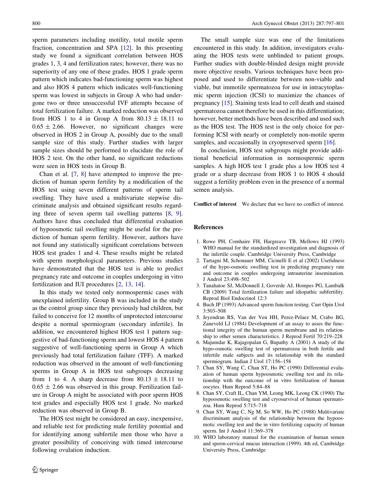<span id="page-3-0"></span>sperm parameters including motility, total motile sperm fraction, concentration and SPA [\[12](#page-4-0)]. In this presenting study we found a significant correlation between HOS grades 1, 3, 4 and fertilization rates; however, there was no superiority of any one of these grades. HOS 1 grade sperm pattern which indicates bad-functioning sperm was highest and also HOS 4 pattern which indicates well-functioning sperm was lowest in subjects in Group A who had undergone two or three unsuccessful IVF attempts because of total fertilization failure. A marked reduction was observed from HOS 1 to 4 in Group A from  $80.13 \pm 18.11$  to  $0.65 \pm 2.66$ . However, no significant changes were observed in HOS 2 in Group A, possibly due to the small sample size of this study. Further studies with larger sample sizes should be performed to elucidate the role of HOS 2 test. On the other hand, no significant reductions were seen in HOS tests in Group B.

Chan et al. [7, 8] have attempted to improve the prediction of human sperm fertility by a modification of the HOS test using seven different patterns of sperm tail swelling. They have used a multivariate stepwise discriminate analysis and obtained significant results regarding three of seven sperm tail swelling patterns [8, 9]. Authors have thus concluded that differential evaluation of hypoosmotic tail swelling might be useful for the prediction of human sperm fertility. However, authors have not found any statistically significant correlations between HOS test grades 1 and 4. These results might be related with sperm morphological parameters. Previous studies have demonstrated that the HOS test is able to predict pregnancy rate and outcome in couples undergoing in vitro fertilization and IUI procedures [2, [13](#page-4-0), [14](#page-4-0)].

In this study we tested only normospermic cases with unexplained infertility. Group B was included in the study as the control group since they previously had children, but failed to conceive for 12 months of unprotected intercourse despite a normal spermiogram (secondary infertile). In addition, we encountered highest HOS test 1 pattern suggestive of bad-functioning sperm and lowest HOS 4 pattern suggestive of well-functioning sperm in Group A which previously had total fertilization failure (TFF). A marked reduction was observed in the amount of well-functioning sperms in Group A in HOS test subgroups decreasing from 1 to 4. A sharp decrease from  $80.13 \pm 18.11$  to  $0.65 \pm 2.66$  was observed in this group. Fertilization failure in Group A might be associated with poor sperm HOS test grades and especially HOS test 1 grade. No marked reduction was observed in Group B.

The HOS test might be considered an easy, inexpensive, and reliable test for predicting male fertility potential and for identifying among subfertile men those who have a greater possibility of conceiving with timed intercourse following ovulation induction.

The small sample size was one of the limitations encountered in this study. In addition, investigators evaluating the HOS tests were unblinded to patient groups. Further studies with double-blinded design might provide more objective results. Various techniques have been proposed and used to differentiate between non-viable and viable, but immotile spermatozoa for use in intracytoplasmic sperm injection (ICSI) to maximize the chances of pregnancy [[15\]](#page-4-0). Staining tests lead to cell death and stained spermatozoa cannot therefore be used in this differentiation; however, better methods have been described and used such as the HOS test. The HOS test is the only choice for performing ICSI with nearly or completely non-motile sperm samples, and occasionally in cryopreserved sperm [[16\]](#page-4-0).

In conclusion, HOS test subgroups might provide additional beneficial information in normospermic sperm samples. A high HOS test 1 grade plus a low HOS test 4 grade or a sharp decrease from HOS 1 to HOS 4 should suggest a fertility problem even in the presence of a normal semen analysis.

Conflict of interest We declare that we have no conflict of interest.

### References

- 1. Rowe PH, Comhaire FH, Hargreave TB, Mellows HJ (1993) WHO manual for the standardized investigation and diagnosis of the infertile couple. Cambridge University Press, Cambridge
- 2. Tartagni M, Schonauer MM, Cicinelli E et al (2002) Usefulness of the hypo-osmotic swelling test in predicting pregnancy rate and outcome in couples undergoing intrauterine insemination. J Androl 23:498–502
- 3. Tanahatoe SJ, McDonnell J, Goverde AJ, Hompes PG, Lambalk CB (2009) Total fertilization failure and idiopathic subfertility. Reprod Biol Endocrinol 12:3
- 4. Buch JP (1993) Advanced sperm function testing. Curr Opin Urol 3:503–508
- 5. Jeyendran RS, Van der Ven HH, Perez-Pelaez M, Crabo BG, Zaneveld LJ (1984) Development of an assay to asses the functional integrity of the human sperm membrane and its relationship to other semen characteristics. J Reprod Fertil 70:219–228
- 6. Majumdar K, Rajagopalan G, Bupathy A (2001) A study of the hypo-osmotic swelling test of spermatozoa in both fertile and infertile male subjects and its relationship with the standard spermiogram. Indian J Urol 17:156–158
- 7. Chan SY, Wang C, Chan ST, Ho PC (1990) Differential evaluation of human sperm hypoosmotic swelling test and its relationship with the outcome of in vitro fertilization of human oocytes. Hum Reprod 5:84–88
- 8. Chan SY, Craft IL, Chan YM, Leong MK, Leong CK (1990) The hypoosmotic swelling test and cryosurvival of human spermatozoa. Hum Reprod 5:715–718
- 9. Chan SY, Wang C, Ng M, So WW, Ho PC (1988) Multivariate discriminant analysis of the relationship between the hypoosmotic swelling test and the in vitro fertilizing capacity of human sperm. Int J Androl 11:369–378
- 10. WHO laboratory manual for the examination of human semen and sperm-cervical mucus interaction (1999). 4th ed, Cambridge University Press, Cambridge